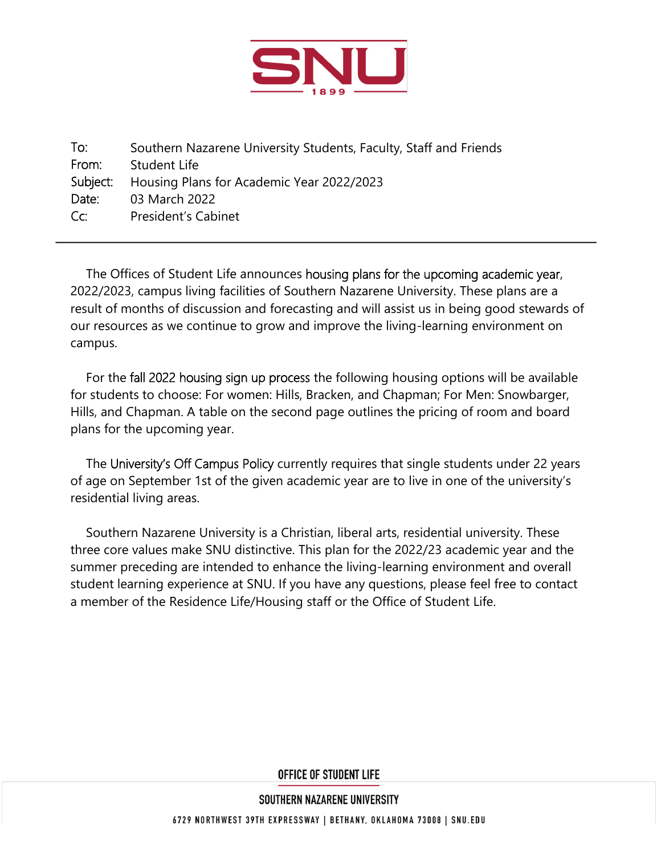

To: From: Subject: Date:  $Cr$ Southern Nazarene University Students, Faculty, Staff and Friends Student Life Housing Plans for Academic Year 2022/2023 03 March 2022 President's Cabinet

The Offices of Student Life announces housing plans for the upcoming academic year, 2022/2023, campus living facilities of Southern Nazarene University. These plans are a result of months of discussion and forecasting and will assist us in being good stewards of our resources as we continue to grow and improve the living-learning environment on campus.

For the fall 2022 housing sign up process the following housing options will be available for students to choose: For women: Hills, Bracken, and Chapman; For Men: Snowbarger, Hills, and Chapman. A table on the second page outlines the pricing of room and board plans for the upcoming year.

The University's Off Campus Policy currently requires that single students under 22 years of age on September 1st of the given academic year are to live in one of the university's residential living areas.

Southern Nazarene University is a Christian, liberal arts, residential university. These three core values make SNU distinctive. This plan for the 2022/23 academic year and the summer preceding are intended to enhance the living-learning environment and overall student learning experience at SNU. If you have any questions, please feel free to contact a member of the Residence Life/Housing staff or the Office of Student Life.

**OFFICE OF STUDENT LIFE** 

SOUTHERN NAZARENE UNIVERSITY

6729 NORTHWEST 39TH EXPRESSWAY | BETHANY, OKLAHOMA 73008 | SNU.EDU